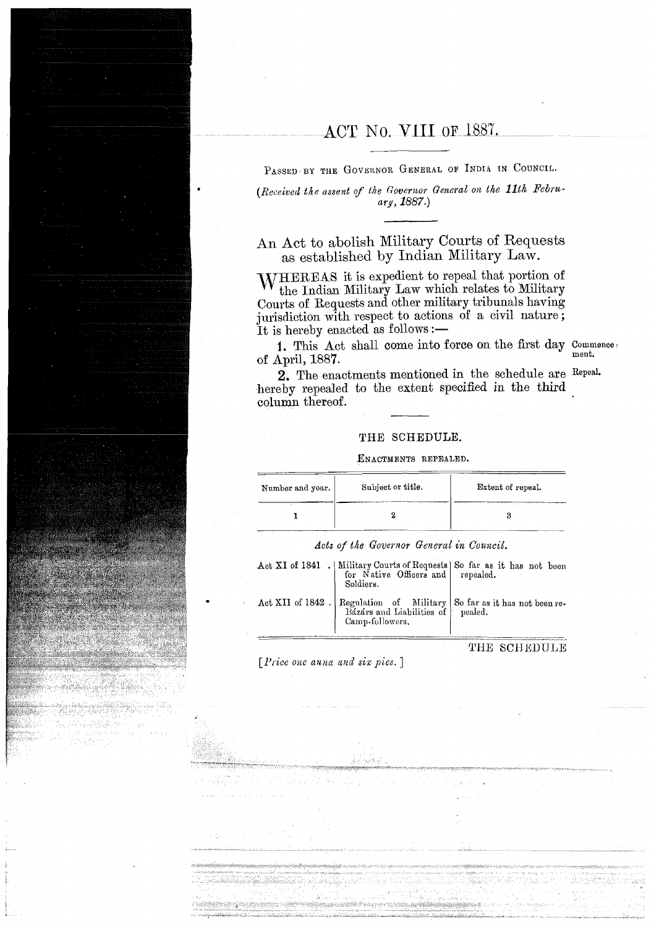# ACT No. V111 OF 1887.

PASSED-BY THE GOVERNOR GENERAL OF INDIA IN COUNCIL.

*(Received the assent of the Governor General on the 11th Febru*ary, *1887.)* 

An Act to abolish Military Courts of Requests as established by Indian Military Law.

IVHEREAS it is expedient to repeal that portion of the Indian Military Law which relates to Military Courts of Requests and other military tribunals having jurisdiction with respect to actions of a civil nature; It is hereby enacted as follows :-

1. This Act shall come into force on the first day  $\frac{1}{\text{t}}$  Commence: of April, 1887.

2. The enactments mentioned in the schedule are Repeal. hereby repealed to the extent specified in the third column thereof.

### **THE** SCHEDULE.

#### ENACTMENTS REPEALED.

| Number and year. | Subject or title. | Extent of repeal. |
|------------------|-------------------|-------------------|
|                  |                   |                   |

Acts of the Governor General in Council.

| Soldiers.       | Act XI of 1841 .   Military Courts of Requests   So far as it has not been for Native Officers and   repealed. |
|-----------------|----------------------------------------------------------------------------------------------------------------|
| Camp-followers. | Act XII of 1842. Regulation of Military So far as it has not been re-<br>Bázárs and Liabilities of pealed.     |

THE SCHEDULE

 $[Price one anna and six pies.]$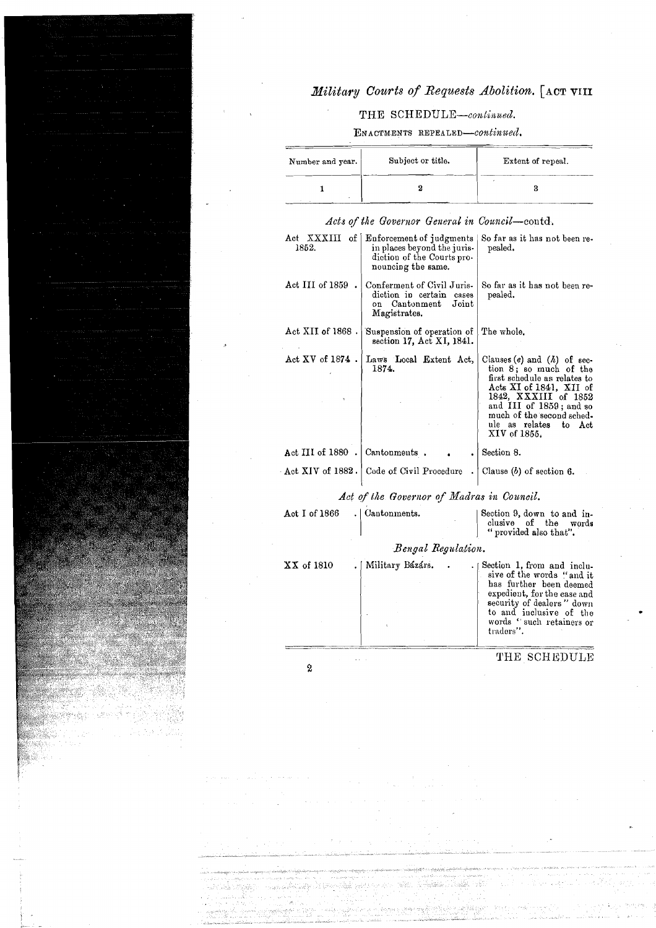## Military Courts of Requests Abolition. [ACT VIII

## THE SCHEDULE-continued.

ENACTMENTS REPEALED-continued.

| Number and year. | Subject or title. | Extent of repeal. |
|------------------|-------------------|-------------------|
|                  |                   |                   |

| Act XXXIII<br>1852.  | of   Enforcement of judgments<br>in places beyond the juris-<br>diction of the Courts pro-<br>nouncing the same. | So far as it has not been re-<br>pealed.                                                                                                                                                                                                         |
|----------------------|------------------------------------------------------------------------------------------------------------------|--------------------------------------------------------------------------------------------------------------------------------------------------------------------------------------------------------------------------------------------------|
| Act III of 1859.     | Conferment of Civil Juris-<br>diction in certain<br>cases<br>on Cantonment<br>Joint<br>Magistrates.              | So far as it has not been re-<br>pealed.                                                                                                                                                                                                         |
| $Act$ XII of 1868.   | Suspension of operation of<br>section 17, Act XI, 1841.                                                          | The whole.                                                                                                                                                                                                                                       |
| Act $XY$ of $1874$ . | Laws Local Extent Act.<br>1874.                                                                                  | Clauses $(e)$ and $(h)$ of sec-<br>tion 8; so much of the<br>first schedule as relates to<br>Acts XI of 1841, XII of<br>1842, XXXIII of 1852<br>and III of 1859; and so<br>much of the second sched-<br>ule as relates<br>to Act<br>XIV of 1855. |
| Act III of 1880.     | Cantonments.                                                                                                     | Section 8.                                                                                                                                                                                                                                       |
|                      | Act XIV of 1882. Code of Civil Procedure                                                                         | Clause $(b)$ of section 6.                                                                                                                                                                                                                       |
|                      | Act of the Governor of Madras in Council.                                                                        |                                                                                                                                                                                                                                                  |
| Act I of $1866$      | Cantonments.                                                                                                     | Section 9, down to and in-<br>clusive of the words<br>" provided also that".                                                                                                                                                                     |
|                      | Bengal Regulation.                                                                                               |                                                                                                                                                                                                                                                  |
| XX of 1810           | Military Bázárs.                                                                                                 | Section 1, from and inclu-<br>sive of the words "and it<br>has further been deemed<br>expedient, for the ease and<br>security of dealers" down<br>to and inclusive of the<br>words "such retainers or<br>traders".                               |

Acts of the Governor General in Council-contd.

 $\overline{2}$ 

### THE SCHEDULE